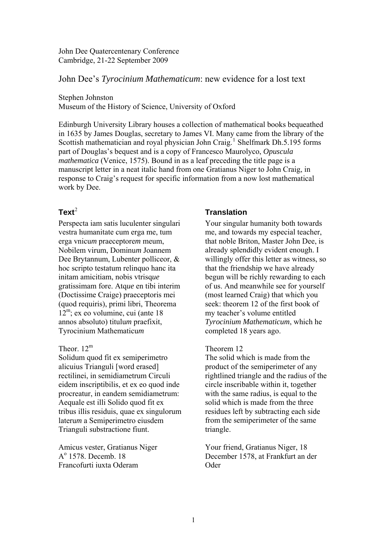John Dee Quatercentenary Conference Cambridge, 21-22 September 2009

John Dee's *Tyrocinium Mathematicum*: new evidence for a lost text

Stephen Johnston

Museum of the History of Science, University of Oxford

Edinburgh University Library houses a collection of mathematical books bequeathed in 1635 by James Douglas, secretary to James VI. Many came from the library of the Scottish mathematician and royal physician John Craig.<sup>[1](#page-3-0)</sup> Shelfmark Dh.5.195 forms part of Douglas's bequest and is a copy of Francesco Maurolyco, *Opuscula mathematica* (Venice, 1575). Bound in as a leaf preceding the title page is a manuscript letter in a neat italic hand from one Gratianus Niger to John Craig, in response to Craig's request for specific information from a now lost mathematical work by Dee.

# $Ter^2$  $Ter^2$

Perspecta iam satis luculenter singulari vestra humanitate cum erga me, tum erga vnicu*m* praeceptore*m* meum, Nobilem virum, Dominu*m* Joannem Dee Brytannum, Lubenter polliceor, & hoc scripto testatum relinquo hanc ita initam amicitiam, nobis vtrisq*ue* gratissimam fore. Atq*ue* en tibi interim (Doctissime Craige) praeceptoris mei (quod requiris), primi libri, Theorema  $12^m$ ; ex eo volumine, cui (ante 18 annos absoluto) titulu*m* praefixit, Tyrocinium Mathematicu*m*

### Theor.  $12^m$

Solidum quod fit ex semiperimetro alicuius Trianguli [word erased] rectilinei, in semidiametrum Circuli eidem inscriptibilis, et ex eo quod inde procreatur, in eandem semidiametrum: Aequale est illi Solido quod fit ex tribus illis residuis, quae ex singulorum lateru*m* a Semiperimetro eiusdem Trianguli substractione fiunt.

Amicus vester, Gratianus Niger A<sup>o</sup> 1578. Decemb. 18 Francofurti iuxta Oderam

## **Translation**

Your singular humanity both towards me, and towards my especial teacher, that noble Briton, Master John Dee, is already splendidly evident enough. I willingly offer this letter as witness, so that the friendship we have already begun will be richly rewarding to each of us. And meanwhile see for yourself (most learned Craig) that which you seek: theorem 12 of the first book of my teacher's volume entitled *Tyrocinium Mathematicum*, which he completed 18 years ago.

#### Theorem 12

The solid which is made from the product of the semiperimeter of any rightlined triangle and the radius of the circle inscribable within it, together with the same radius, is equal to the solid which is made from the three residues left by subtracting each side from the semiperimeter of the same triangle.

Your friend, Gratianus Niger, 18 December 1578, at Frankfurt an der Oder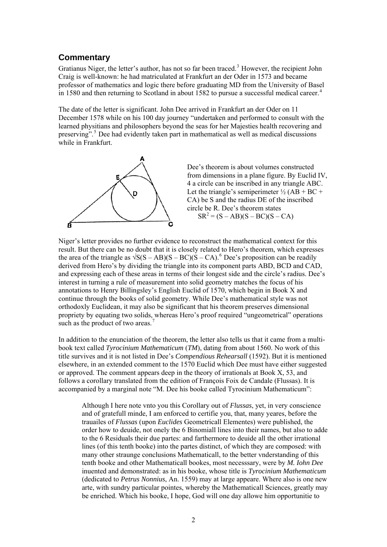## **Commentary**

Gratianus Niger, the letter's author, has not so far been traced.<sup>[3](#page-3-2)</sup> However, the recipient John Craig is well-known: he had matriculated at Frankfurt an der Oder in 1573 and became professor of mathematics and logic there before graduating MD from the University of Basel in 1580 and then returning to Scotland in about 1582 to pursue a successful medical career.<sup>[4](#page-3-2)</sup>

The date of the letter is significant. John Dee arrived in Frankfurt an der Oder on 11 December 1578 while on his 100 day journey "undertaken and performed to consult with the learned physitians and philosophers beyond the seas for her Majesties health recovering and preserving".<sup>[5](#page-3-2)</sup> Dee had evidently taken part in mathematical as well as medical discussions while in Frankfurt.



Dee's theorem is about volumes constructed from dimensions in a plane figure. By Euclid IV , 4 a circle can be inscribed in any triangle ABC. Let the triangle's semiperimeter  $\frac{1}{2}$  (AB + BC + CA) be S and the radius DE of the inscribed circle be R. Dee's theore m states  $SR^2 = (S - AB)(S - BC)(S - CA)$ 

Niger's letter provides no further evidence to reconstruct the mathematical context for this result. But there can be no doubt that it is closely related to Hero's theorem, which expresses the area of the triangle as  $\sqrt{S(S - AB)(S - BC)(S - CA)}$ .<sup>[6](#page-3-2)</sup> Dee's proposition can be readily derived from Hero's by dividing the triangle into its component parts ABD, BCD and CAD, and expressing each of these areas in terms of their longest side and the circle's radius. Dee's interest in turning a rule of measurement into solid geometry matches the focus of his annotations to Henry Billingsley's English Euclid of 1570, which begin in Book X and continue through the books of solid geometry. While Dee's mathematical style was not orthodoxly Euclidean, it may also be significant that his theorem preserves dimensional propriety by equating two solids, whereas Hero's proof required "ungeometrical" operations such as the product of two areas.<sup>[7](#page-3-2)</sup>

In addition to the enunciation of the theorem, the letter also tells us that it came from a multibook text called *Tyrocinium Mathematicum* (*TM*), dating from about 1560. No work of this title survives and it is not listed in Dee's *Compendious Rehearsall* (1592). But it is mentioned elsewhere, in an extended comment to the 1570 Euclid which Dee must have either suggested or approved. The comment appears deep in the theory of irrationals at Book X, 53, and follows a corollary translated from the edition of François Foix de Candale (Flussas). It is accompanied by a marginal note "M. Dee his booke called Tyrocinium Mathematicum":

Although I here note vnto you this Corollary out of *Flussas*, yet, in very conscience and of gratefull minde, I am enforced to certifie you, that, many yeares, before the trauailes of *Flussas* (upon *Euclides* Geometricall Elementes) were published, the order how to deuide, not onely the 6 Binomiall lines into their names, but also to adde to the 6 Residuals their due partes: and farthermore to deuide all the other irrational lines (of this tenth booke) into the partes distinct, of which they are composed: with many other straunge conclusions Mathematicall, to the better vnderstanding of this tenth booke and other Mathematicall bookes, most necesssary, were by *M. Iohn Dee* inuented and demonstrated: as in his booke, whose title is *Tyrocinium Mathematicum* (dedicated to *Petrus Nonnius*, An. 1559) may at large appeare. Where also is one new arte, with sundry particular pointes, whereby the Mathematicall Sciences, greatly may be enriched. Which his booke, I hope, God will one day allowe him opportunitie to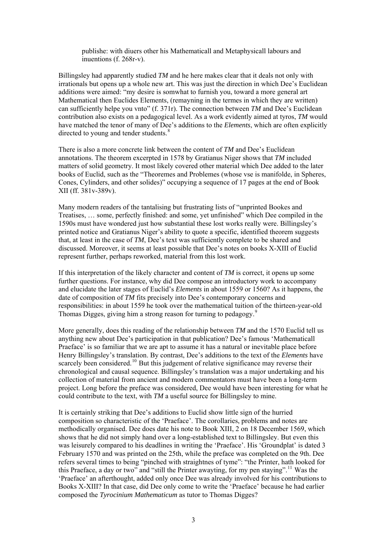publishe: with diuers other his Mathematicall and Metaphysicall labours and inuentions (f. 268r-v).

Billingsley had apparently studied *TM* and he here makes clear that it deals not only with irrationals but opens up a whole new art. This was just the direction in which Dee's Euclidean additions were aimed: "my desire is somwhat to furnish you, toward a more general art Mathematical then Euclides Elements, (remayning in the termes in which they are written) can sufficiently helpe you vnto" (f. 371r). The connection between *TM* and Dee's Euclidean contribution also exists on a pedagogical level. As a work evidently aimed at tyros, *TM* would have matched the tenor of many of Dee's additions to the *Elements*, which are often explicitly directed to young and tender students.<sup>[8](#page-3-2)</sup>

There is also a more concrete link between the content of *TM* and Dee's Euclidean annotations. The theorem excerpted in 1578 by Gratianus Niger shows that *TM* included matters of solid geometry. It most likely covered other material which Dee added to the later books of Euclid, such as the "Theoremes and Problemes (whose vse is manifolde, in Spheres, Cones, Cylinders, and other solides)" occupying a sequence of 17 pages at the end of Book XII (ff. 381v-389v).

Many modern readers of the tantalising but frustrating lists of "unprinted Bookes and Treatises, … some, perfectly finished: and some, yet unfinished" which Dee compiled in the 1590s must have wondered just how substantial these lost works really were. Billingsley's printed notice and Gratianus Niger's ability to quote a specific, identified theorem suggests that, at least in the case of *TM*, Dee's text was sufficiently complete to be shared and discussed. Moreover, it seems at least possible that Dee's notes on books X-XIII of Euclid represent further, perhaps reworked, material from this lost work.

If this interpretation of the likely character and content of *TM* is correct, it opens up some further questions. For instance, why did Dee compose an introductory work to accompany and elucidate the later stages of Euclid's *Elements* in about 1559 or 1560? As it happens, the date of composition of *TM* fits precisely into Dee's contemporary concerns and responsibilities: in about 1559 he took over the mathematical tuition of the thirteen-year-old Thomas Digges, giving him a strong reason for turning to pedagogy.<sup>[9](#page-3-2)</sup>

More generally, does this reading of the relationship between *TM* and the 1570 Euclid tell us anything new about Dee's participation in that publication? Dee's famous 'Mathematicall Praeface' is so familiar that we are apt to assume it has a natural or inevitable place before Henry Billingsley's translation. By contrast, Dee's additions to the text of the *Elements* have scarcely been considered.<sup>[10](#page-3-2)</sup> But this judgement of relative significance may reverse their chronological and causal sequence. Billingsley's translation was a major undertaking and his collection of material from ancient and modern commentators must have been a long-term project. Long before the preface was considered, Dee would have been interesting for what he could contribute to the text, with *TM* a useful source for Billingsley to mine.

It is certainly striking that Dee's additions to Euclid show little sign of the hurried composition so characteristic of the 'Praeface'. The corollaries, problems and notes are methodically organised. Dee does date his note to Book XIII, 2 on 18 December 1569, which shows that he did not simply hand over a long-established text to Billingsley. But even this was leisurely compared to his deadlines in writing the 'Praeface'. His 'Groundplat' is dated 3 February 1570 and was printed on the 25th, while the preface was completed on the 9th. Dee refers several times to being "pinched with straightnes of tyme": "the Printer, hath looked for this Praeface, a day or two" and "still the Printer awayting, for my pen staying".<sup>[11](#page-3-2)</sup> Was the 'Praeface' an afterthought, added only once Dee was already involved for his contributions to Books X-XIII? In that case, did Dee only come to write the 'Praeface' because he had earlier composed the *Tyrocinium Mathematicum* as tutor to Thomas Digges?